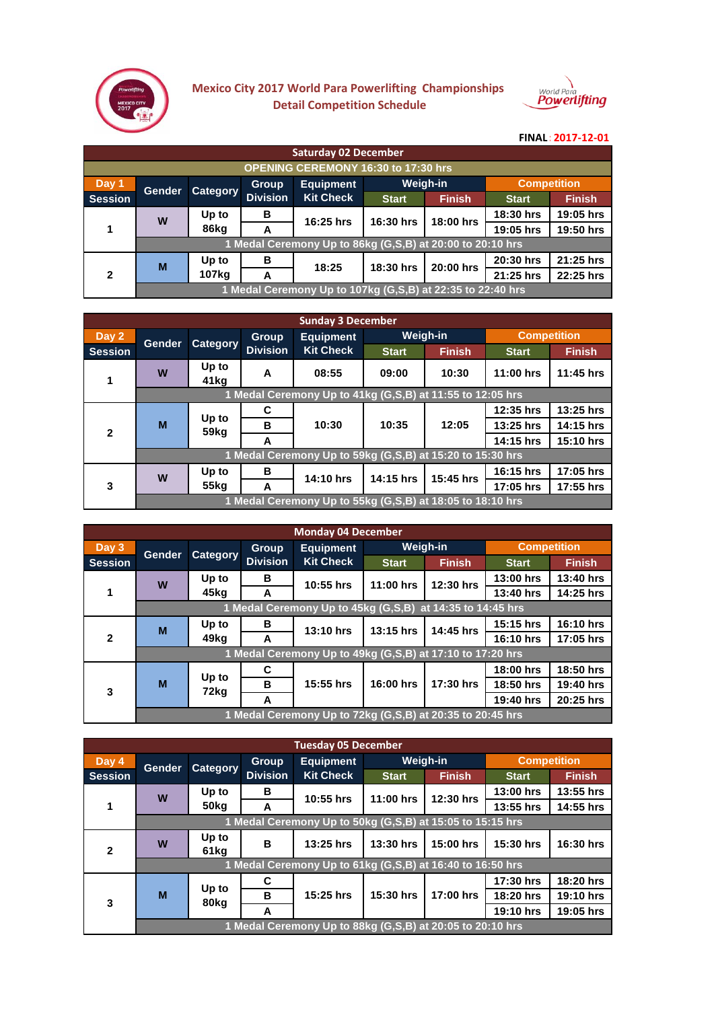

## **Mexico City 2017 World Para Powerlifting Championships Detail Competition Schedule**



## **FINAL**: 2017-12-01

| <b>Saturday 02 December</b>                |                                                           |          |                 |                                                            |              |                 |              |                    |  |  |
|--------------------------------------------|-----------------------------------------------------------|----------|-----------------|------------------------------------------------------------|--------------|-----------------|--------------|--------------------|--|--|
| <b>OPENING CEREMONY 16:30 to 17:30 hrs</b> |                                                           |          |                 |                                                            |              |                 |              |                    |  |  |
| Day 1                                      | <b>Gender</b>                                             |          | <b>Group</b>    | <b>Equipment</b>                                           |              | <b>Weigh-in</b> |              | <b>Competition</b> |  |  |
| <b>Session</b>                             |                                                           | Category | <b>Division</b> | <b>Kit Check</b>                                           | <b>Start</b> | <b>Finish</b>   | <b>Start</b> | <b>Finish</b>      |  |  |
|                                            | W                                                         | Up to    | в               | 16:25 hrs                                                  | 16:30 hrs    | 18:00 hrs       | 18:30 hrs    | 19:05 hrs          |  |  |
|                                            |                                                           | 86kg     | A               |                                                            |              |                 | 19:05 hrs    | 19:50 hrs          |  |  |
|                                            | 1 Medal Ceremony Up to 86kg (G,S,B) at 20:00 to 20:10 hrs |          |                 |                                                            |              |                 |              |                    |  |  |
|                                            | M                                                         | Up to    | в               | 18:25                                                      | 18:30 hrs    | 20:00 hrs       | 20:30 hrs    | 21:25 hrs          |  |  |
| $\mathfrak{p}$                             |                                                           | 107kg    | A               |                                                            |              |                 | 21:25 hrs    | 22:25 hrs          |  |  |
|                                            |                                                           |          |                 | 1 Medal Ceremony Up to 107kg (G,S,B) at 22:35 to 22:40 hrs |              |                 |              |                    |  |  |

| <b>Sunday 3 December</b> |                                                           |                           |                                 |                                                           |                 |               |                    |               |  |  |
|--------------------------|-----------------------------------------------------------|---------------------------|---------------------------------|-----------------------------------------------------------|-----------------|---------------|--------------------|---------------|--|--|
| Day 2                    | Gender                                                    | Category                  | <b>Group</b><br><b>Division</b> | <b>Equipment</b><br><b>Kit Check</b>                      | <b>Weigh-in</b> |               | <b>Competition</b> |               |  |  |
| <b>Session</b>           |                                                           |                           |                                 |                                                           | <b>Start</b>    | <b>Finish</b> | <b>Start</b>       | <b>Finish</b> |  |  |
| 1                        | W                                                         | Up to<br>41kg             | A                               | 08:55                                                     | 09:00           | 10:30         | $11:00$ hrs        | 11:45 hrs     |  |  |
|                          |                                                           |                           |                                 | 1 Medal Ceremony Up to 41kg (G,S,B) at 11:55 to 12:05 hrs |                 |               |                    |               |  |  |
|                          | M                                                         | Up to<br>59 <sub>kg</sub> | С                               | 10:30                                                     | 10:35           | 12:05         | 12:35 hrs          | 13:25 hrs     |  |  |
| $\overline{2}$           |                                                           |                           | в                               |                                                           |                 |               | 13:25 hrs          | 14:15 hrs     |  |  |
|                          |                                                           |                           | A                               |                                                           |                 |               | 14:15 hrs          | 15:10 hrs     |  |  |
|                          | 1 Medal Ceremony Up to 59kg (G,S,B) at 15:20 to 15:30 hrs |                           |                                 |                                                           |                 |               |                    |               |  |  |
| 3                        | W                                                         | Up to                     | в                               | 14:10 hrs                                                 | 14:15 hrs       | 15:45 hrs     | 16:15 hrs          | 17:05 hrs     |  |  |
|                          |                                                           | 55 <sub>kg</sub>          | A                               |                                                           |                 |               | 17:05 hrs          | 17:55 hrs     |  |  |
|                          |                                                           |                           |                                 | 1 Medal Ceremony Up to 55kg (G,S,B) at 18:05 to 18:10 hrs |                 |               |                    |               |  |  |

| <b>Monday 04 December</b> |                                                           |               |                 |                                                           |                 |                       |                    |               |  |  |
|---------------------------|-----------------------------------------------------------|---------------|-----------------|-----------------------------------------------------------|-----------------|-----------------------|--------------------|---------------|--|--|
| Day 3                     | <b>Gender</b>                                             | Category      | Group           | <b>Equipment</b><br><b>Kit Check</b>                      | <b>Weigh-in</b> |                       | <b>Competition</b> |               |  |  |
| <b>Session</b>            |                                                           |               | <b>Division</b> |                                                           | <b>Start</b>    | <b>Finish</b>         | <b>Start</b>       | <b>Finish</b> |  |  |
|                           | W                                                         | Up to         | в               | $10:55$ hrs                                               | $11:00$ hrs     | 12:30 hrs             | 13:00 hrs          | 13:40 hrs     |  |  |
| 1                         |                                                           | 45kg          | A               |                                                           |                 |                       | 13:40 hrs          | 14:25 hrs     |  |  |
|                           |                                                           |               |                 | 1 Medal Ceremony Up to 45kg (G,S,B)                       |                 | at 14:35 to 14:45 hrs |                    |               |  |  |
|                           | M                                                         | Up to         | в               | 13:10 hrs                                                 | $13:15$ hrs     | 14:45 hrs             | $15:15$ hrs        | 16:10 hrs     |  |  |
| $\mathbf{2}$              |                                                           | 49ka          | A               |                                                           |                 |                       | 16:10 hrs          | 17:05 hrs     |  |  |
|                           | 1 Medal Ceremony Up to 49kg (G,S,B) at 17:10 to 17:20 hrs |               |                 |                                                           |                 |                       |                    |               |  |  |
|                           |                                                           | Up to<br>72kg | C               |                                                           |                 | 17:30 hrs             | 18:00 hrs          | 18:50 hrs     |  |  |
| 3                         | M                                                         |               | в               | 15:55 hrs                                                 | 16:00 hrs       |                       | 18:50 hrs          | 19:40 hrs     |  |  |
|                           |                                                           |               | A               |                                                           |                 |                       | 19:40 hrs          | 20:25 hrs     |  |  |
|                           |                                                           |               |                 | 1 Medal Ceremony Up to 72kg (G,S,B) at 20:35 to 20:45 hrs |                 |                       |                    |               |  |  |

| <b>Tuesday 05 December</b> |                                                           |               |                 |                                                           |              |               |                    |               |  |  |
|----------------------------|-----------------------------------------------------------|---------------|-----------------|-----------------------------------------------------------|--------------|---------------|--------------------|---------------|--|--|
| Day 4                      | Gender                                                    | Category      | <b>Group</b>    | <b>Equipment</b><br><b>Kit Check</b>                      | Weigh-in     |               | <b>Competition</b> |               |  |  |
| <b>Session</b>             |                                                           |               | <b>Division</b> |                                                           | <b>Start</b> | <b>Finish</b> | <b>Start</b>       | <b>Finish</b> |  |  |
|                            | W                                                         | Up to         | в               | 10:55 hrs                                                 | 11:00 hrs    | 12:30 hrs     | $13:00$ hrs        | 13:55 hrs     |  |  |
|                            |                                                           | 50kg          | A               |                                                           |              |               | 13:55 hrs          | 14:55 hrs     |  |  |
|                            |                                                           |               |                 | 1 Medal Ceremony Up to 50kg (G,S,B) at 15:05 to 15:15 hrs |              |               |                    |               |  |  |
| $\mathbf{2}$               | W                                                         | Up to<br>61kg | в               | 13:25 hrs                                                 | $13:30$ hrs  | 15:00 hrs     | 15:30 hrs          | 16:30 hrs     |  |  |
|                            | 1 Medal Ceremony Up to 61kg (G,S,B) at 16:40 to 16:50 hrs |               |                 |                                                           |              |               |                    |               |  |  |
|                            | M                                                         | Up to<br>80kg | C               |                                                           | 15:30 hrs    | 17:00 hrs     | 17:30 hrs          | 18:20 hrs     |  |  |
| 3                          |                                                           |               | в               | 15:25 hrs                                                 |              |               | 18:20 hrs          | 19:10 hrs     |  |  |
|                            |                                                           |               | A               |                                                           |              |               | 19:10 hrs          | 19:05 hrs     |  |  |
|                            |                                                           |               |                 | 1 Medal Ceremony Up to 88kg (G,S,B) at 20:05 to 20:10 hrs |              |               |                    |               |  |  |